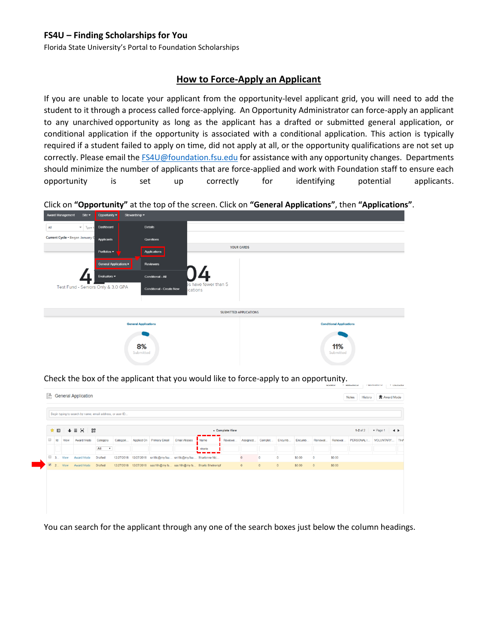## **FS4U – Finding Scholarships for You**

Florida State University's Portal to Foundation Scholarships

## **How to Force-Apply an Applicant**

If you are unable to locate your applicant from the opportunity-level applicant grid, you will need to add the student to it through a process called force-applying. An Opportunity Administrator can force-apply an applicant to any unarchived opportunity as long as the applicant has a drafted or submitted general application, or conditional application if the opportunity is associated with a conditional application. This action is typically required if a student failed to apply on time, did not apply at all, or the opportunity qualifications are not set up correctly. Please email the [FS4U@foundation.fsu.edu](mailto:FS4U@foundation.fsu.edu) for assistance with any opportunity changes. Departments should minimize the number of applicants that are force-applied and work with Foundation staff to ensure each opportunity is set up correctly for identifying potential applicants.

Click on **"Opportunity"** at the top of the screen. Click on **"General Applications"**, then **"Applications"**.



Check the box of the applicant that you would like to force-apply to an opportunity.

| 84<br>★ 旧<br>$\equiv$<br>ЖL<br>$\ddotmark$ |    |                    |            |                           |            |  |                                                    | v Complete View      |                                                                      |         |                |              |                |         |                |          | $\blacktriangleright$ Page 1 |            |
|--------------------------------------------|----|--------------------|------------|---------------------------|------------|--|----------------------------------------------------|----------------------|----------------------------------------------------------------------|---------|----------------|--------------|----------------|---------|----------------|----------|------------------------------|------------|
| $\qquad \qquad \Box$                       | Id | View               | Award Mode | Category                  | Categori   |  | Applied On Primary Email                           | <b>Email Aliases</b> | Name                                                                 | Reviewe | Assigned       | Complet.     | Encumb         | Encumb. | Renewal.       | Renewal. | PERSONAL I.                  | VOLUNTARY. |
|                                            |    |                    |            | All<br>$\pmb{\mathrm{v}}$ |            |  |                                                    |                      | sharlo                                                               |         |                |              |                |         |                |          |                              |            |
| $\qquad \qquad \Box$                       |    | 3 View             | Award Mode | Drafted                   | 12/27/2018 |  | 12/27/2018 sn18c@my.fsu sn18c@my.fsu Sharlonne Nic |                      |                                                                      |         | $\overline{0}$ | $\circ$      | $\circ$        | \$0.00  | $\circ$        | \$0.00   |                              |            |
|                                            |    | $\boxed{2}$ 2 View | Award Mode | Drafted                   |            |  |                                                    |                      | 12/27/2018  12/27/2018  sas16h@my.fs  sas16h@my.fs  Sharlo Shetrompf |         | $\overline{0}$ | $\mathbf{0}$ | $\overline{0}$ | \$0.00  | $\overline{0}$ | \$0.00   |                              |            |

You can search for the applicant through any one of the search boxes just below the column headings.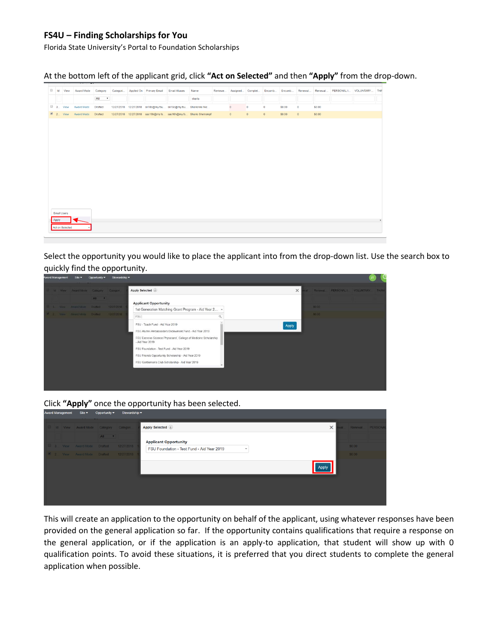## **FS4U – Finding Scholarships for You**

Florida State University's Portal to Foundation Scholarships

At the bottom left of the applicant grid, click **"Act on Selected"** and then **"Apply"** from the drop-down.

|                    | d Id View       | Award Mode          | Category     | Categori | Applied On Primary Email Email Aliases                        | Name                                                                 | Reviewe Assigned Complet Encumb Encumb |             |                |        | Renewal   | Renewal | PERSONAL I VOLUNTARY THA |  |
|--------------------|-----------------|---------------------|--------------|----------|---------------------------------------------------------------|----------------------------------------------------------------------|----------------------------------------|-------------|----------------|--------|-----------|---------|--------------------------|--|
|                    |                 |                     | All <b>v</b> |          |                                                               | sharlo                                                               |                                        |             |                |        |           |         |                          |  |
|                    | $\Box$ 3 View   | Award Mode          | Drafted      |          | 12/27/2018 12/27/2018 sn18c@my.fsu sn18c@my.fsu Sharlonne Nic |                                                                      | $\mathbf{0}$                           | $\circ$     | $\mathbf 0$    | \$0.00 | $\circ$   | \$0.00  |                          |  |
|                    |                 | 2 2 View Award Mode | Drafted      |          |                                                               | 12/27/2018  12/27/2018  sas16h@my.fs  sas16h@my.fs  Sharlo Shetrompf | $\theta$                               | $\mathbf 0$ | $\overline{0}$ | \$0.00 | $\bullet$ | \$0.00  |                          |  |
|                    |                 |                     |              |          |                                                               |                                                                      |                                        |             |                |        |           |         |                          |  |
|                    |                 |                     |              |          |                                                               |                                                                      |                                        |             |                |        |           |         |                          |  |
|                    |                 |                     |              |          |                                                               |                                                                      |                                        |             |                |        |           |         |                          |  |
|                    |                 |                     |              |          |                                                               |                                                                      |                                        |             |                |        |           |         |                          |  |
|                    |                 |                     |              |          |                                                               |                                                                      |                                        |             |                |        |           |         |                          |  |
|                    |                 |                     |              |          |                                                               |                                                                      |                                        |             |                |        |           |         |                          |  |
|                    |                 |                     |              |          |                                                               |                                                                      |                                        |             |                |        |           |         |                          |  |
|                    |                 |                     |              |          |                                                               |                                                                      |                                        |             |                |        |           |         |                          |  |
|                    |                 |                     |              |          |                                                               |                                                                      |                                        |             |                |        |           |         |                          |  |
|                    |                 |                     |              |          |                                                               |                                                                      |                                        |             |                |        |           |         |                          |  |
|                    |                 |                     |              |          |                                                               |                                                                      |                                        |             |                |        |           |         |                          |  |
|                    |                 |                     |              |          |                                                               |                                                                      |                                        |             |                |        |           |         |                          |  |
| <b>Email Users</b> |                 |                     |              |          |                                                               |                                                                      |                                        |             |                |        |           |         |                          |  |
|                    |                 |                     |              |          |                                                               |                                                                      |                                        |             |                |        |           |         |                          |  |
| Apply              | Act on Selected |                     |              |          |                                                               |                                                                      |                                        |             |                |        |           |         |                          |  |
|                    |                 |                     |              |          |                                                               |                                                                      |                                        |             |                |        |           |         |                          |  |
|                    |                 |                     |              |          |                                                               |                                                                      |                                        |             |                |        |           |         |                          |  |

Select the opportunity you would like to place the applicant into from the drop-down list. Use the search box to quickly find the opportunity.

|  |                                         |       | Award Management Site $\bullet$ Opportunity Stewardship $\bullet$ |                                                                                                                                                                                                                                                                                                                                            |          |        | J <sub>T</sub>                       |  |
|--|-----------------------------------------|-------|-------------------------------------------------------------------|--------------------------------------------------------------------------------------------------------------------------------------------------------------------------------------------------------------------------------------------------------------------------------------------------------------------------------------------|----------|--------|--------------------------------------|--|
|  | 13 Id View Award Mode Category Categori |       |                                                                   | Apply Selected                                                                                                                                                                                                                                                                                                                             | $\times$ |        | Val Renewal PERSONALI VOLUNTARY THAN |  |
|  | U.S. View Award Mode Drafted 12/27/2018 | All r |                                                                   | <b>Applicant Opportunity</b>                                                                                                                                                                                                                                                                                                               |          | \$0.00 |                                      |  |
|  |                                         |       | 2 2 Vew Award Mode Drafted 12/27/2018                             | 1st Generation Matching Grant Program - Aid Year 2 ^<br>FSU]<br>$\Omega$                                                                                                                                                                                                                                                                   |          | 50.00  |                                      |  |
|  |                                         |       |                                                                   | FSU - Teach Fund - Aid Year 2019<br>FSU Alumni Ambassadors Endowment Fund - Aid Year 2019<br>FSU Exercise Science Physicians', College of Medicine Scholarship<br>- Aid Year 2019<br>FSU Foundation - Test Fund - Aid Year 2019<br>FSU Friends Opportunity Scholarship - Aid Year 2019<br>FSU Gentlemen's Club Scholarship - Aid Year 2019 | Apply    |        |                                      |  |
|  |                                         |       |                                                                   |                                                                                                                                                                                                                                                                                                                                            |          |        |                                      |  |

Click **"Apply"** once the opportunity has been selected.

|  |                             |                                      | Award management one - Opportunity - Stewardship - |                                            |      |                 |  |
|--|-----------------------------|--------------------------------------|----------------------------------------------------|--------------------------------------------|------|-----------------|--|
|  |                             | Id View Award Mode Category Categori |                                                    | Apply Selected (i)<br>$\times$             | val. | Renewal PERSONA |  |
|  |                             | All <b>v</b>                         |                                                    | <b>Applicant Opportunity</b>               |      |                 |  |
|  | 3 View Award Mode Drafted   |                                      | 12/27/2018 1                                       | FSU Foundation - Test Fund - Aid Year 2019 |      | \$0.00          |  |
|  | 2 2 View Award Mode Drafted |                                      | 12/27/2018 1                                       |                                            |      | \$0.00          |  |
|  |                             |                                      |                                                    | Apply                                      |      |                 |  |
|  |                             |                                      |                                                    |                                            |      |                 |  |
|  |                             |                                      |                                                    |                                            |      |                 |  |
|  |                             |                                      |                                                    |                                            |      |                 |  |

This will create an application to the opportunity on behalf of the applicant, using whatever responses have been provided on the general application so far. If the opportunity contains qualifications that require a response on the general application, or if the application is an apply-to application, that student will show up with 0 qualification points. To avoid these situations, it is preferred that you direct students to complete the general application when possible.